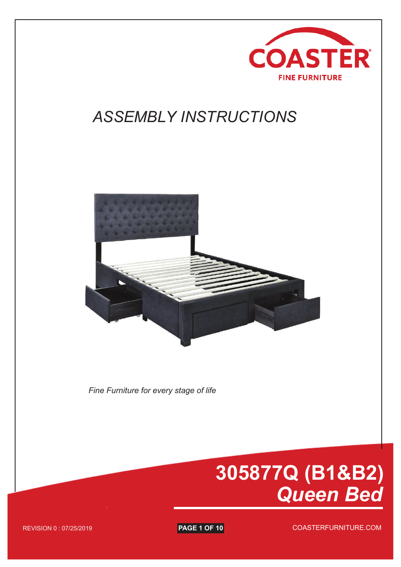

## *ASSEMBLY INSTRUCTIONS*



*Fine Furniture for every stage of life*

# **305877Q (B1&B2)** *Queen Bed*

**PAGE 1 OF 10** AGE 1 OF 2 COASTERFURNITURE.COM

REVISION 0 : 07/25/2019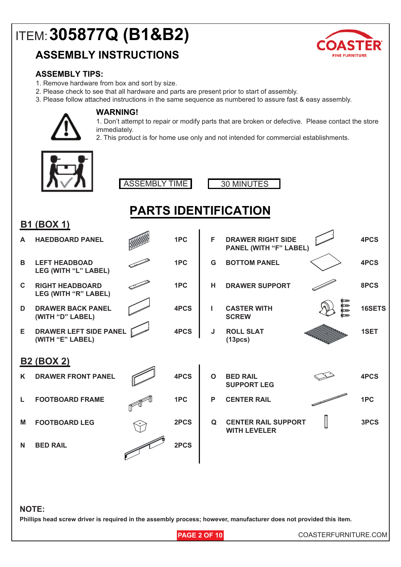### **ASSEMBLY INSTRUCTIONS**



#### **ASSEMBLY TIPS:**

- 1. Remove hardware from box and sort by size.
- 2. Please check to see that all hardware and parts are present prior to start of assembly.
- 3. Please follow attached instructions in the same sequence as numbered to assure fast & easy assembly.

**PARTS IDENTIFICATION**



#### **WARNING!**

1. Don't attempt to repair or modify parts that are broken or defective. Please contact the store immediately.

2. This product is for home use only and not intended for commercial establishments.





| <b>B1 (BOX 1)</b> |                                                   |  |      |             |                                                           |                                                |        |  |  |  |
|-------------------|---------------------------------------------------|--|------|-------------|-----------------------------------------------------------|------------------------------------------------|--------|--|--|--|
| A                 | <b>HAEDBOARD PANEL</b>                            |  | 1PC  | F           | <b>DRAWER RIGHT SIDE</b><br><b>PANEL (WITH "F" LABEL)</b> |                                                | 4PCS   |  |  |  |
| B                 | <b>LEFT HEADBOAD</b><br>LEG (WITH "L" LABEL)      |  | 1PC  | G           | <b>BOTTOM PANEL</b>                                       |                                                | 4PCS   |  |  |  |
| $\mathbf{C}$      | <b>RIGHT HEADBOARD</b><br>LEG (WITH "R" LABEL)    |  | 1PC  | H           | <b>DRAWER SUPPORT</b>                                     |                                                | 8PCS   |  |  |  |
| D                 | <b>DRAWER BACK PANEL</b><br>(WITH "D" LABEL)      |  | 4PCS | I.          | <b>CASTER WITH</b><br><b>SCREW</b>                        | <b>g</b> ende<br>gende<br>gende<br><b>kamp</b> | 16SETS |  |  |  |
| E.                | <b>DRAWER LEFT SIDE PANEL</b><br>(WITH "E" LABEL) |  | 4PCS | J           | <b>ROLL SLAT</b><br>(13 <sub>pcs</sub> )                  |                                                | 1SET   |  |  |  |
| <b>B2 (BOX 2)</b> |                                                   |  |      |             |                                                           |                                                |        |  |  |  |
| K                 | <b>DRAWER FRONT PANEL</b>                         |  | 4PCS | $\mathbf O$ | <b>BED RAIL</b><br><b>SUPPORT LEG</b>                     |                                                | 4PCS   |  |  |  |
| L                 | <b>FOOTBOARD FRAME</b>                            |  | 1PC  | P           | <b>CENTER RAIL</b>                                        |                                                | 1PC    |  |  |  |
| M                 | <b>FOOTBOARD LEG</b>                              |  | 2PCS | Q           | <b>CENTER RAIL SUPPORT</b><br><b>WITH LEVELER</b>         |                                                | 3PCS   |  |  |  |
| N                 | <b>BED RAIL</b>                                   |  | 2PCS |             |                                                           |                                                |        |  |  |  |
|                   |                                                   |  |      |             |                                                           |                                                |        |  |  |  |
|                   |                                                   |  |      |             |                                                           |                                                |        |  |  |  |
| <b>NOTE:</b>      |                                                   |  |      |             |                                                           |                                                |        |  |  |  |

#### **Phillips head screw driver is required in the assembly process; however, manufacturer does not provided this item.**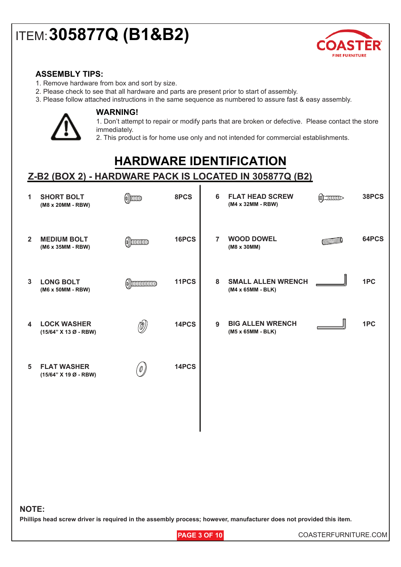

#### **ASSEMBLY TIPS:**

- 1. Remove hardware from box and sort by size.
- 2. Please check to see that all hardware and parts are present prior to start of assembly.
- 3. Please follow attached instructions in the same sequence as numbered to assure fast & easy assembly.



#### **WARNING!**

1. Don't attempt to repair or modify parts that are broken or defective. Please contact the store immediately.

2. This product is for home use only and not intended for commercial establishments.

### **HARDWARE IDENTIFICATION**

### **Z-B2 (BOX 2) - HARDWARE PACK IS LOCATED IN 305877Q (B2)**

| 1              | <b>SHORT BOLT</b><br>(M8 x 20MM - RBW)      | $\circledR$          | 8PCS  | 6              | <b>FLAT HEAD SCREW</b><br>(M4 x 32MM - RBW)    | (S) | 38PCS |
|----------------|---------------------------------------------|----------------------|-------|----------------|------------------------------------------------|-----|-------|
| $\overline{2}$ | <b>MEDIUM BOLT</b><br>(M6 x 35MM - RBW)     | $\circ$ ) $\circ$    | 16PCS | $\overline{7}$ | <b>WOOD DOWEL</b><br>(M8 x 30MM)               |     | 64PCS |
| 3              | <b>LONG BOLT</b><br>(M6 x 50MM - RBW)       | $\omega$ )) $\omega$ | 11PCS | 8              | <b>SMALL ALLEN WRENCH</b><br>(M4 x 65MM - BLK) |     | 1PC   |
| 4              | <b>LOCK WASHER</b><br>(15/64" X 13 Ø - RBW) | $\circled{0}$        | 14PCS | 9              | <b>BIG ALLEN WRENCH</b><br>(M5 x 65MM - BLK)   |     | 1PC   |
| 5              | <b>FLAT WASHER</b><br>(15/64" X 19 Ø - RBW) | $\emptyset$          | 14PCS |                |                                                |     |       |
|                |                                             |                      |       |                |                                                |     |       |

#### **NOTE:**

**Phillips head screw driver is required in the assembly process; however, manufacturer does not provided this item.**

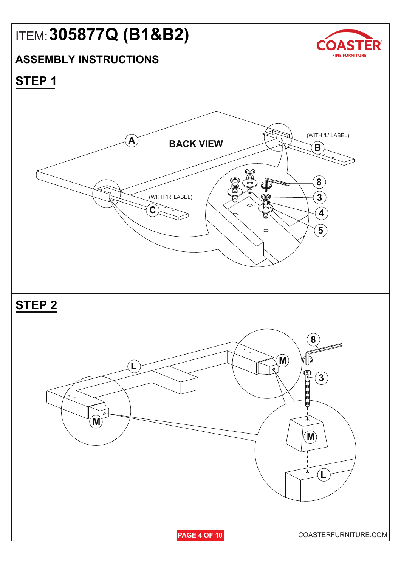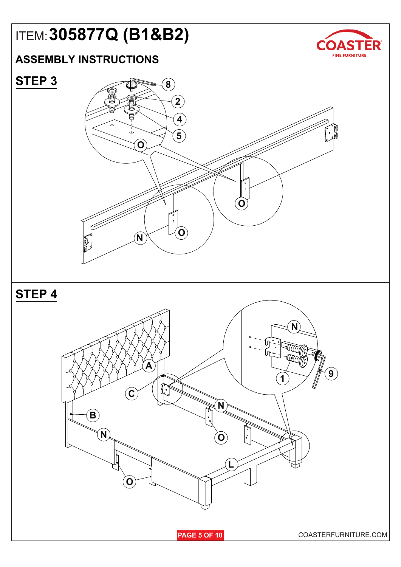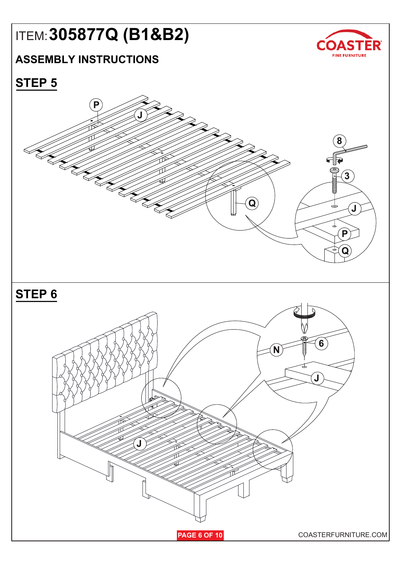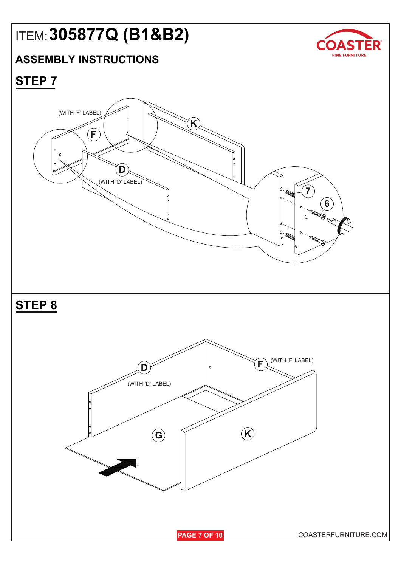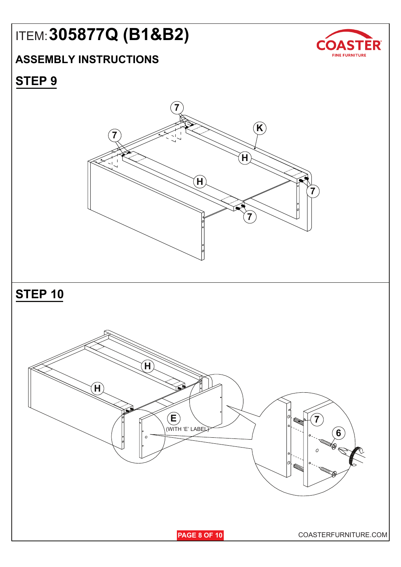### **ASSEMBLY INSTRUCTIONS**



### **STEP 9**

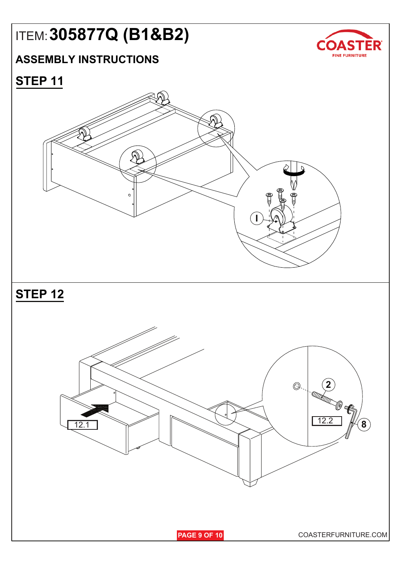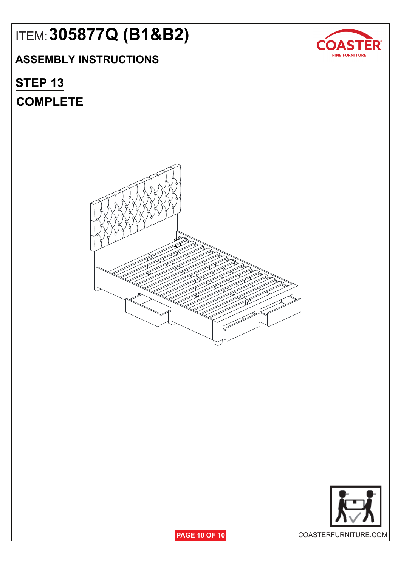### **ASSEMBLY INSTRUCTIONS**

## **COMPLETE STEP 13**